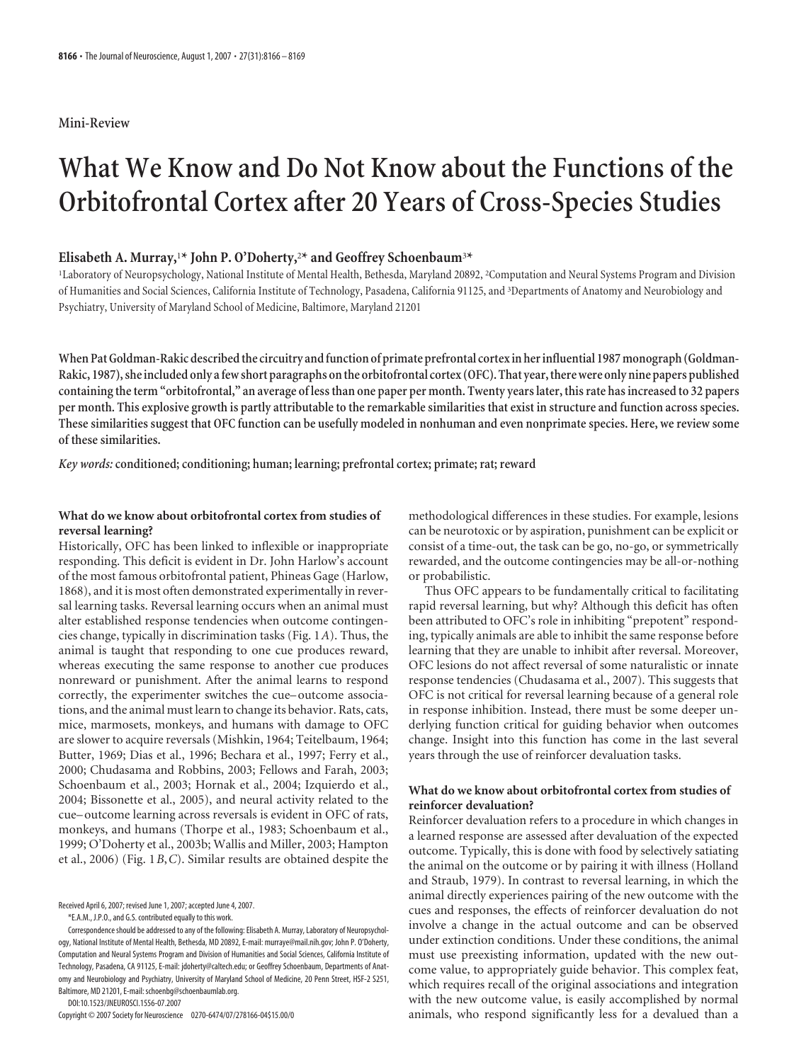## **Mini-Review**

# **What We Know and Do Not Know about the Functions of the Orbitofrontal Cortex after 20 Years of Cross-Species Studies**

# **Elisabeth A. Murray,**<sup>1</sup> **\* John P. O'Doherty,**<sup>2</sup> **\* and Geoffrey Schoenbaum**<sup>3</sup> **\***

<sup>1</sup>Laboratory of Neuropsychology, National Institute of Mental Health, Bethesda, Maryland 20892, <sup>2</sup>Computation and Neural Systems Program and Division of Humanities and Social Sciences, California Institute of Technology, Pasadena, California 91125, and <sup>3</sup>Departments of Anatomy and Neurobiology and Psychiatry, University of Maryland School of Medicine, Baltimore, Maryland 21201

When Pat Goldman-Rakic described the circuitry and function of primate prefrontal cortex in her influential 1987 monograph (Goldman-**Rakic, 1987), she included only afew short paragraphs onthe orbitofrontal cortex (OFC). That year,there were only nine papers published containing the term "orbitofrontal," an average of less than one paper per month. Twenty years later, this rate has increased to 32 papers per month. This explosive growth is partly attributable to the remarkable similarities that exist in structure and function across species. These similarities suggest that OFC function can be usefully modeled in nonhuman and even nonprimate species. Here, we review some of these similarities.**

*Key words:***conditioned; conditioning; human; learning; prefrontal cortex; primate; rat; reward**

## **What do we know about orbitofrontal cortex from studies of reversal learning?**

Historically, OFC has been linked to inflexible or inappropriate responding. This deficit is evident in Dr. John Harlow's account of the most famous orbitofrontal patient, Phineas Gage (Harlow, 1868), and it is most often demonstrated experimentally in reversal learning tasks. Reversal learning occurs when an animal must alter established response tendencies when outcome contingencies change, typically in discrimination tasks (Fig. 1*A*). Thus, the animal is taught that responding to one cue produces reward, whereas executing the same response to another cue produces nonreward or punishment. After the animal learns to respond correctly, the experimenter switches the cue– outcome associations, and the animal must learn to change its behavior. Rats, cats, mice, marmosets, monkeys, and humans with damage to OFC are slower to acquire reversals (Mishkin, 1964; Teitelbaum, 1964; Butter, 1969; Dias et al., 1996; Bechara et al., 1997; Ferry et al., 2000; Chudasama and Robbins, 2003; Fellows and Farah, 2003; Schoenbaum et al., 2003; Hornak et al., 2004; Izquierdo et al., 2004; Bissonette et al., 2005), and neural activity related to the cue– outcome learning across reversals is evident in OFC of rats, monkeys, and humans (Thorpe et al., 1983; Schoenbaum et al., 1999; O'Doherty et al., 2003b; Wallis and Miller, 2003; Hampton et al., 2006) (Fig. 1*B*,*C*). Similar results are obtained despite the

Received April 6, 2007; revised June 1, 2007; accepted June 4, 2007.

\*E.A.M., J.P.O., and G.S. contributed equally to this work.

Correspondence should be addressed to any of the following: Elisabeth A. Murray, Laboratory of Neuropsychology, National Institute of Mental Health, Bethesda, MD 20892, E-mail: murraye@mail.nih.gov; John P. O'Doherty, Computation and Neural Systems Program and Division of Humanities and Social Sciences, California Institute of Technology, Pasadena, CA 91125, E-mail: jdoherty@caltech.edu; or Geoffrey Schoenbaum, Departments of Anatomy and Neurobiology and Psychiatry, University of Maryland School of Medicine, 20 Penn Street, HSF-2 S251, Baltimore, MD 21201, E-mail: schoenbg@schoenbaumlab.org.

DOI:10.1523/JNEUROSCI.1556-07.2007

Copyright © 2007 Society for Neuroscience 0270-6474/07/278166-04\$15.00/0

methodological differences in these studies. For example, lesions can be neurotoxic or by aspiration, punishment can be explicit or consist of a time-out, the task can be go, no-go, or symmetrically rewarded, and the outcome contingencies may be all-or-nothing or probabilistic.

Thus OFC appears to be fundamentally critical to facilitating rapid reversal learning, but why? Although this deficit has often been attributed to OFC's role in inhibiting "prepotent" responding, typically animals are able to inhibit the same response before learning that they are unable to inhibit after reversal. Moreover, OFC lesions do not affect reversal of some naturalistic or innate response tendencies (Chudasama et al., 2007). This suggests that OFC is not critical for reversal learning because of a general role in response inhibition. Instead, there must be some deeper underlying function critical for guiding behavior when outcomes change. Insight into this function has come in the last several years through the use of reinforcer devaluation tasks.

## **What do we know about orbitofrontal cortex from studies of reinforcer devaluation?**

Reinforcer devaluation refers to a procedure in which changes in a learned response are assessed after devaluation of the expected outcome. Typically, this is done with food by selectively satiating the animal on the outcome or by pairing it with illness (Holland and Straub, 1979). In contrast to reversal learning, in which the animal directly experiences pairing of the new outcome with the cues and responses, the effects of reinforcer devaluation do not involve a change in the actual outcome and can be observed under extinction conditions. Under these conditions, the animal must use preexisting information, updated with the new outcome value, to appropriately guide behavior. This complex feat, which requires recall of the original associations and integration with the new outcome value, is easily accomplished by normal animals, who respond significantly less for a devalued than a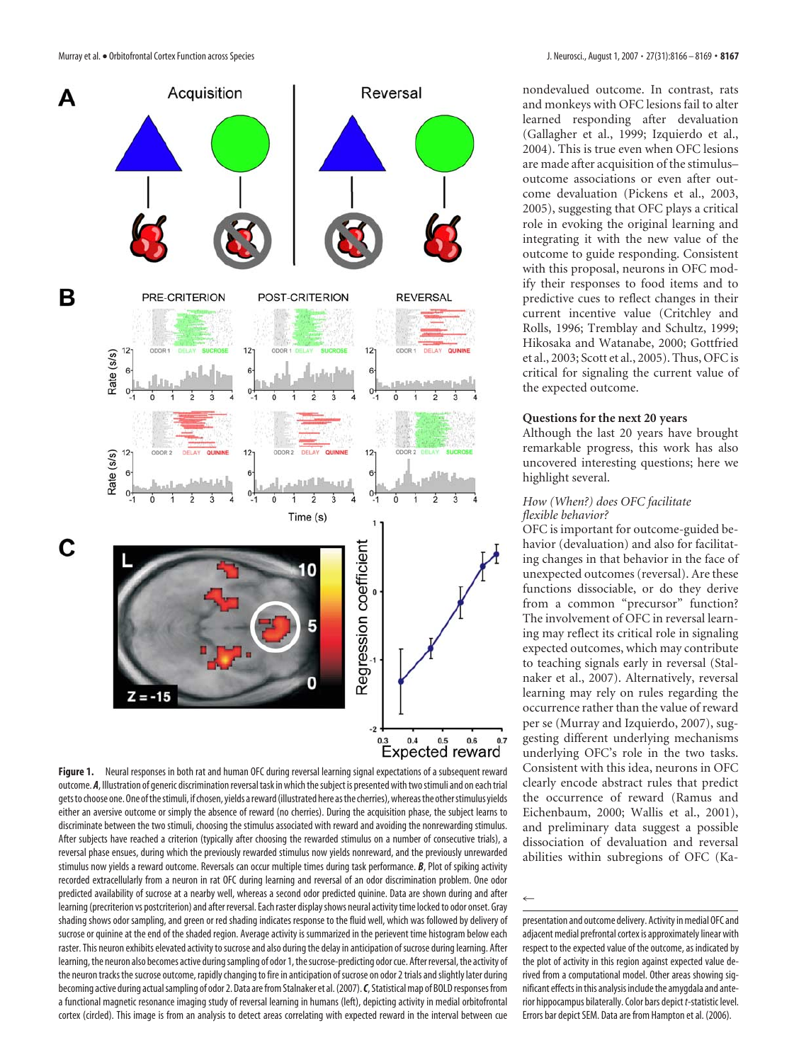

nondevalued outcome. In contrast, rats and monkeys with OFC lesions fail to alter learned responding after devaluation (Gallagher et al., 1999; Izquierdo et al., 2004). This is true even when OFC lesions are made after acquisition of the stimulus– outcome associations or even after outcome devaluation (Pickens et al., 2003, 2005), suggesting that OFC plays a critical role in evoking the original learning and integrating it with the new value of the outcome to guide responding. Consistent with this proposal, neurons in OFC modify their responses to food items and to predictive cues to reflect changes in their current incentive value (Critchley and Rolls, 1996; Tremblay and Schultz, 1999; Hikosaka and Watanabe, 2000; Gottfried et al., 2003; Scott et al., 2005). Thus, OFC is critical for signaling the current value of the expected outcome.

#### **Questions for the next 20 years**

Although the last 20 years have brought remarkable progress, this work has also uncovered interesting questions; here we highlight several.

## *How (When?) does OFC facilitate flexible behavior?*

OFC is important for outcome-guided behavior (devaluation) and also for facilitating changes in that behavior in the face of unexpected outcomes (reversal). Are these functions dissociable, or do they derive from a common "precursor" function? The involvement of OFC in reversal learning may reflect its critical role in signaling expected outcomes, which may contribute to teaching signals early in reversal (Stalnaker et al., 2007). Alternatively, reversal learning may rely on rules regarding the occurrence rather than the value of reward per se (Murray and Izquierdo, 2007), suggesting different underlying mechanisms underlying OFC's role in the two tasks. Consistent with this idea, neurons in OFC clearly encode abstract rules that predict the occurrence of reward (Ramus and Eichenbaum, 2000; Wallis et al., 2001), and preliminary data suggest a possible dissociation of devaluation and reversal abilities within subregions of OFC (Ka-

**Figure 1.** Neural responses in both rat and human OFC during reversal learning signal expectations of a subsequent reward outcome. *A*, Illustration of generic discrimination reversal task in which the subject is presented with two stimuli and on each trial gets to choose one. One of the stimuli, if chosen, yields a reward (illustrated here as the cherries), whereas the other stimulus yields either an aversive outcome or simply the absence of reward (no cherries). During the acquisition phase, the subject learns to discriminate between the two stimuli, choosing the stimulus associated with reward and avoiding the nonrewarding stimulus. After subjects have reached a criterion (typically after choosing the rewarded stimulus on a number of consecutive trials), a reversal phase ensues, during which the previously rewarded stimulus now yields nonreward, and the previously unrewarded stimulus now yields a reward outcome. Reversals can occur multiple times during task performance. *B*, Plot of spiking activity recorded extracellularly from a neuron in rat OFC during learning and reversal of an odor discrimination problem. One odor predicted availability of sucrose at a nearby well, whereas a second odor predicted quinine. Data are shown during and after learning (precriterion vs postcriterion) and after reversal. Each raster display shows neural activity time locked to odor onset. Gray shading shows odor sampling, and green or red shading indicates response to the fluid well, which was followed by delivery of sucrose or quinine at the end of the shaded region. Average activity is summarized in the perievent time histogram below each raster. This neuron exhibits elevated activity to sucrose and also during the delay in anticipation of sucrose during learning. After learning, the neuron also becomes active during sampling of odor 1, the sucrose-predicting odor cue. After reversal, the activity of the neuron tracks the sucrose outcome, rapidly changing to fire in anticipation of sucrose on odor 2 trials and slightly later during becoming active during actual sampling of odor 2. Data are from Stalnaker et al. (2007). *C*, Statistical map of BOLD responses from a functional magnetic resonance imaging study of reversal learning in humans (left), depicting activity in medial orbitofrontal cortex (circled). This image is from an analysis to detect areas correlating with expected reward in the interval between cue

 $\leftarrow$ 

presentation and outcome delivery. Activity in medial OFC and adjacent medial prefrontal cortex is approximately linear with respect to the expected value of the outcome, as indicated by the plot of activity in this region against expected value derived from a computational model. Other areas showing significant effects inthis analysis includethe amygdala and anterior hippocampus bilaterally. Color bars depict *t*-statistic level. Errors bar depict SEM. Data are from Hampton et al. (2006).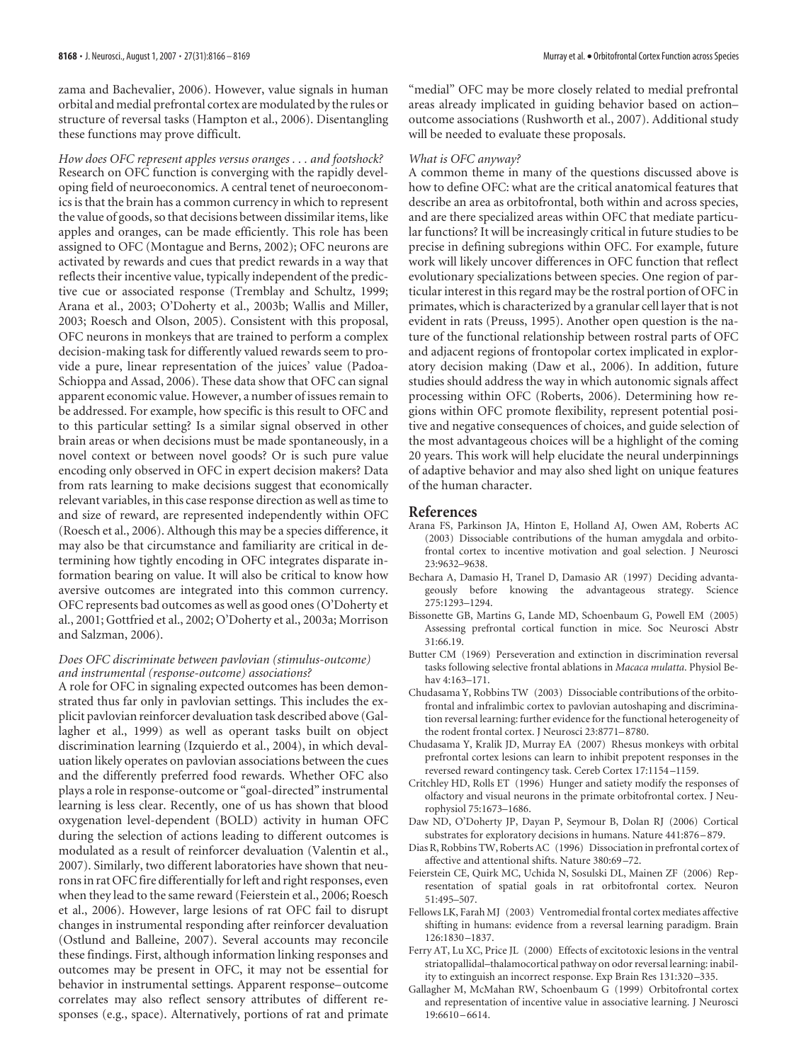zama and Bachevalier, 2006). However, value signals in human orbital and medial prefrontal cortex are modulated by the rules or structure of reversal tasks (Hampton et al., 2006). Disentangling these functions may prove difficult.

*How does OFC represent apples versus oranges . . . and footshock?* Research on OFC function is converging with the rapidly developing field of neuroeconomics. A central tenet of neuroeconomics is that the brain has a common currency in which to represent the value of goods, so that decisions between dissimilar items, like apples and oranges, can be made efficiently. This role has been assigned to OFC (Montague and Berns, 2002); OFC neurons are activated by rewards and cues that predict rewards in a way that reflects their incentive value, typically independent of the predictive cue or associated response (Tremblay and Schultz, 1999; Arana et al., 2003; O'Doherty et al., 2003b; Wallis and Miller, 2003; Roesch and Olson, 2005). Consistent with this proposal, OFC neurons in monkeys that are trained to perform a complex decision-making task for differently valued rewards seem to provide a pure, linear representation of the juices' value (Padoa-Schioppa and Assad, 2006). These data show that OFC can signal apparent economic value. However, a number of issues remain to be addressed. For example, how specific is this result to OFC and to this particular setting? Is a similar signal observed in other brain areas or when decisions must be made spontaneously, in a novel context or between novel goods? Or is such pure value encoding only observed in OFC in expert decision makers? Data from rats learning to make decisions suggest that economically relevant variables, in this case response direction as well as time to and size of reward, are represented independently within OFC (Roesch et al., 2006). Although this may be a species difference, it may also be that circumstance and familiarity are critical in determining how tightly encoding in OFC integrates disparate information bearing on value. It will also be critical to know how aversive outcomes are integrated into this common currency. OFC represents bad outcomes as well as good ones (O'Doherty et al., 2001; Gottfried et al., 2002; O'Doherty et al., 2003a; Morrison and Salzman, 2006).

#### *Does OFC discriminate between pavlovian (stimulus-outcome) and instrumental (response-outcome) associations?*

A role for OFC in signaling expected outcomes has been demonstrated thus far only in pavlovian settings. This includes the explicit pavlovian reinforcer devaluation task described above (Gallagher et al., 1999) as well as operant tasks built on object discrimination learning (Izquierdo et al., 2004), in which devaluation likely operates on pavlovian associations between the cues and the differently preferred food rewards. Whether OFC also plays a role in response-outcome or "goal-directed" instrumental learning is less clear. Recently, one of us has shown that blood oxygenation level-dependent (BOLD) activity in human OFC during the selection of actions leading to different outcomes is modulated as a result of reinforcer devaluation (Valentin et al., 2007). Similarly, two different laboratories have shown that neurons in rat OFC fire differentially for left and right responses, even when they lead to the same reward (Feierstein et al., 2006; Roesch et al., 2006). However, large lesions of rat OFC fail to disrupt changes in instrumental responding after reinforcer devaluation (Ostlund and Balleine, 2007). Several accounts may reconcile these findings. First, although information linking responses and outcomes may be present in OFC, it may not be essential for behavior in instrumental settings. Apparent response– outcome correlates may also reflect sensory attributes of different responses (e.g., space). Alternatively, portions of rat and primate

"medial" OFC may be more closely related to medial prefrontal areas already implicated in guiding behavior based on action– outcome associations (Rushworth et al., 2007). Additional study will be needed to evaluate these proposals.

#### *What is OFC anyway?*

A common theme in many of the questions discussed above is how to define OFC: what are the critical anatomical features that describe an area as orbitofrontal, both within and across species, and are there specialized areas within OFC that mediate particular functions? It will be increasingly critical in future studies to be precise in defining subregions within OFC. For example, future work will likely uncover differences in OFC function that reflect evolutionary specializations between species. One region of particular interest in this regard may be the rostral portion of OFC in primates, which is characterized by a granular cell layer that is not evident in rats (Preuss, 1995). Another open question is the nature of the functional relationship between rostral parts of OFC and adjacent regions of frontopolar cortex implicated in exploratory decision making (Daw et al., 2006). In addition, future studies should address the way in which autonomic signals affect processing within OFC (Roberts, 2006). Determining how regions within OFC promote flexibility, represent potential positive and negative consequences of choices, and guide selection of the most advantageous choices will be a highlight of the coming 20 years. This work will help elucidate the neural underpinnings of adaptive behavior and may also shed light on unique features of the human character.

#### **References**

- Arana FS, Parkinson JA, Hinton E, Holland AJ, Owen AM, Roberts AC (2003) Dissociable contributions of the human amygdala and orbitofrontal cortex to incentive motivation and goal selection. J Neurosci 23:9632–9638.
- Bechara A, Damasio H, Tranel D, Damasio AR (1997) Deciding advantageously before knowing the advantageous strategy. Science 275:1293–1294.
- Bissonette GB, Martins G, Lande MD, Schoenbaum G, Powell EM (2005) Assessing prefrontal cortical function in mice. Soc Neurosci Abstr 31:66.19.
- Butter CM (1969) Perseveration and extinction in discrimination reversal tasks following selective frontal ablations in *Macaca mulatta*. Physiol Behav 4:163–171.
- Chudasama Y, Robbins TW (2003) Dissociable contributions of the orbitofrontal and infralimbic cortex to pavlovian autoshaping and discrimination reversal learning: further evidence for the functional heterogeneity of the rodent frontal cortex. J Neurosci 23:8771–8780.
- Chudasama Y, Kralik JD, Murray EA (2007) Rhesus monkeys with orbital prefrontal cortex lesions can learn to inhibit prepotent responses in the reversed reward contingency task. Cereb Cortex 17:1154 –1159.
- Critchley HD, Rolls ET (1996) Hunger and satiety modify the responses of olfactory and visual neurons in the primate orbitofrontal cortex. J Neurophysiol 75:1673–1686.
- Daw ND, O'Doherty JP, Dayan P, Seymour B, Dolan RJ (2006) Cortical substrates for exploratory decisions in humans. Nature 441:876 –879.
- Dias R, Robbins TW, Roberts AC (1996) Dissociation in prefrontal cortex of affective and attentional shifts. Nature 380:69 –72.
- Feierstein CE, Quirk MC, Uchida N, Sosulski DL, Mainen ZF (2006) Representation of spatial goals in rat orbitofrontal cortex. Neuron 51:495–507.
- Fellows LK, Farah MJ (2003) Ventromedial frontal cortex mediates affective shifting in humans: evidence from a reversal learning paradigm. Brain 126:1830 –1837.
- Ferry AT, Lu XC, Price JL (2000) Effects of excitotoxic lesions in the ventral striatopallidal–thalamocortical pathway on odor reversal learning: inability to extinguish an incorrect response. Exp Brain Res 131:320 –335.
- Gallagher M, McMahan RW, Schoenbaum G (1999) Orbitofrontal cortex and representation of incentive value in associative learning. J Neurosci 19:6610 –6614.